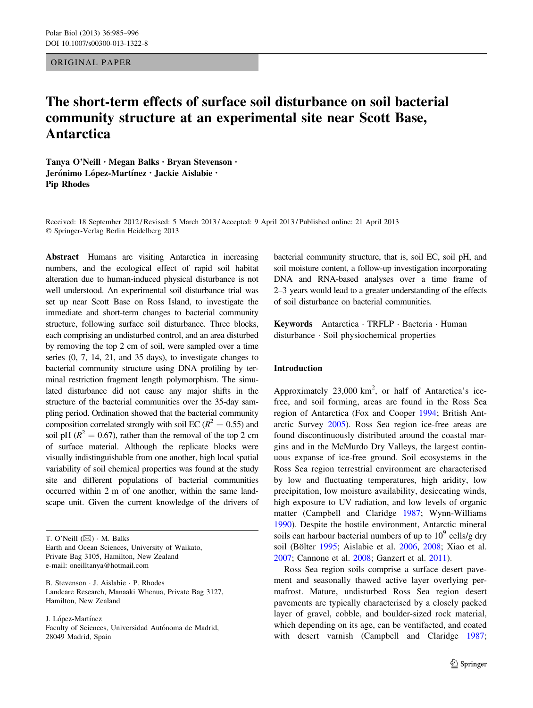ORIGINAL PAPER

# The short-term effects of surface soil disturbance on soil bacterial community structure at an experimental site near Scott Base, Antarctica

Tanya O'Neill • Megan Balks • Bryan Stevenson • Jerónimo López-Martínez · Jackie Aislabie · Pip Rhodes

Received: 18 September 2012 / Revised: 5 March 2013 / Accepted: 9 April 2013 / Published online: 21 April 2013  $© Springer-Verlag Berlin Heidelberg 2013$ 

Abstract Humans are visiting Antarctica in increasing numbers, and the ecological effect of rapid soil habitat alteration due to human-induced physical disturbance is not well understood. An experimental soil disturbance trial was set up near Scott Base on Ross Island, to investigate the immediate and short-term changes to bacterial community structure, following surface soil disturbance. Three blocks, each comprising an undisturbed control, and an area disturbed by removing the top 2 cm of soil, were sampled over a time series (0, 7, 14, 21, and 35 days), to investigate changes to bacterial community structure using DNA profiling by terminal restriction fragment length polymorphism. The simulated disturbance did not cause any major shifts in the structure of the bacterial communities over the 35-day sampling period. Ordination showed that the bacterial community composition correlated strongly with soil EC ( $R^2 = 0.55$ ) and soil pH ( $R^2 = 0.67$ ), rather than the removal of the top 2 cm of surface material. Although the replicate blocks were visually indistinguishable from one another, high local spatial variability of soil chemical properties was found at the study site and different populations of bacterial communities occurred within 2 m of one another, within the same landscape unit. Given the current knowledge of the drivers of

B. Stevenson · J. Aislabie · P. Rhodes Landcare Research, Manaaki Whenua, Private Bag 3127, Hamilton, New Zealand

J. López-Martínez Faculty of Sciences, Universidad Autónoma de Madrid, 28049 Madrid, Spain

bacterial community structure, that is, soil EC, soil pH, and soil moisture content, a follow-up investigation incorporating DNA and RNA-based analyses over a time frame of 2–3 years would lead to a greater understanding of the effects of soil disturbance on bacterial communities.

Keywords Antarctica · TRFLP · Bacteria · Human disturbance ! Soil physiochemical properties

## Introduction

Approximately  $23,000 \text{ km}^2$ , or half of Antarctica's icefree, and soil forming, areas are found in the Ross Sea region of Antarctica (Fox and Cooper [1994](#page-10-0); British Antarctic Survey [2005](#page-11-0)). Ross Sea region ice-free areas are found discontinuously distributed around the coastal margins and in the McMurdo Dry Valleys, the largest continuous expanse of ice-free ground. Soil ecosystems in the Ross Sea region terrestrial environment are characterised by low and fluctuating temperatures, high aridity, low precipitation, low moisture availability, desiccating winds, high exposure to UV radiation, and low levels of organic matter (Campbell and Claridge [1987](#page-10-0); Wynn-Williams [1990](#page-11-0)). Despite the hostile environment, Antarctic mineral soils can harbour bacterial numbers of up to  $10^9$  cells/g dry soil (Bölter [1995](#page-9-0); Aislabie et al. [2006](#page-9-0), [2008;](#page-9-0) Xiao et al. [2007](#page-11-0); Cannone et al. [2008;](#page-10-0) Ganzert et al. [2011\)](#page-10-0).

Ross Sea region soils comprise a surface desert pavement and seasonally thawed active layer overlying permafrost. Mature, undisturbed Ross Sea region desert pavements are typically characterised by a closely packed layer of gravel, cobble, and boulder-sized rock material, which depending on its age, can be ventifacted, and coated with desert varnish (Campbell and Claridge [1987](#page-10-0);

T. O'Neill  $(\boxtimes) \cdot M$ . Balks Earth and Ocean Sciences, University of Waikato, Private Bag 3105, Hamilton, New Zealand e-mail: oneilltanya@hotmail.com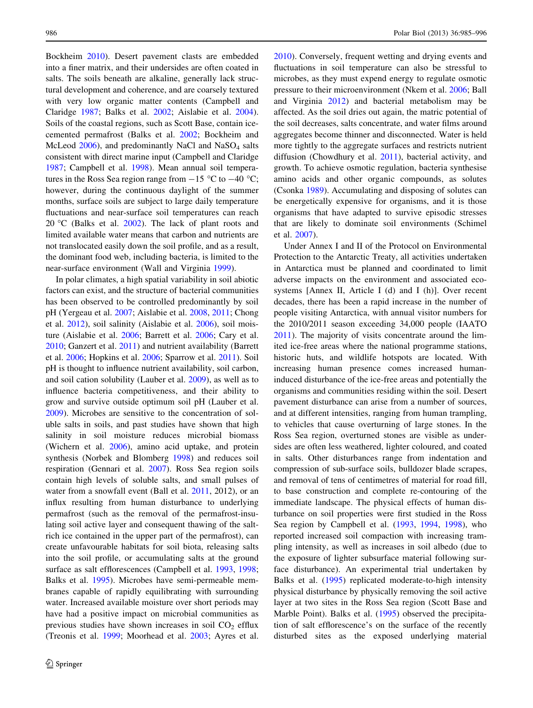Bockheim [2010](#page-9-0)). Desert pavement clasts are embedded into a finer matrix, and their undersides are often coated in salts. The soils beneath are alkaline, generally lack structural development and coherence, and are coarsely textured with very low organic matter contents (Campbell and Claridge [1987](#page-10-0); Balks et al. [2002](#page-9-0); Aislabie et al. [2004](#page-9-0)). Soils of the coastal regions, such as Scott Base, contain icecemented permafrost (Balks et al. [2002;](#page-9-0) Bockheim and McLeod  $2006$ ), and predominantly NaCl and NaSO<sub>4</sub> salts consistent with direct marine input (Campbell and Claridge [1987;](#page-10-0) Campbell et al. [1998\)](#page-10-0). Mean annual soil temperatures in the Ross Sea region range from  $-15$  °C to  $-40$  °C; however, during the continuous daylight of the summer months, surface soils are subject to large daily temperature fluctuations and near-surface soil temperatures can reach 20  $\degree$ C (Balks et al. [2002](#page-9-0)). The lack of plant roots and limited available water means that carbon and nutrients are not translocated easily down the soil profile, and as a result, the dominant food web, including bacteria, is limited to the near-surface environment (Wall and Virginia [1999](#page-11-0)).

In polar climates, a high spatial variability in soil abiotic factors can exist, and the structure of bacterial communities has been observed to be controlled predominantly by soil pH (Yergeau et al. [2007](#page-11-0); Aislabie et al. [2008,](#page-9-0) [2011](#page-9-0); Chong et al. [2012\)](#page-10-0), soil salinity (Aislabie et al. [2006](#page-9-0)), soil moisture (Aislabie et al. [2006;](#page-9-0) Barrett et al. [2006](#page-9-0); Cary et al. [2010;](#page-10-0) Ganzert et al. [2011](#page-10-0)) and nutrient availability (Barrett et al. [2006;](#page-9-0) Hopkins et al. [2006](#page-10-0); Sparrow et al. [2011](#page-10-0)). Soil pH is thought to influence nutrient availability, soil carbon, and soil cation solubility (Lauber et al. [2009\)](#page-10-0), as well as to influence bacteria competitiveness, and their ability to grow and survive outside optimum soil pH (Lauber et al. [2009\)](#page-10-0). Microbes are sensitive to the concentration of soluble salts in soils, and past studies have shown that high salinity in soil moisture reduces microbial biomass (Wichern et al. [2006](#page-11-0)), amino acid uptake, and protein synthesis (Norbek and Blomberg [1998](#page-10-0)) and reduces soil respiration (Gennari et al. [2007](#page-10-0)). Ross Sea region soils contain high levels of soluble salts, and small pulses of water from a snowfall event (Ball et al. [2011](#page-9-0), 2012), or an influx resulting from human disturbance to underlying permafrost (such as the removal of the permafrost-insulating soil active layer and consequent thawing of the saltrich ice contained in the upper part of the permafrost), can create unfavourable habitats for soil biota, releasing salts into the soil profile, or accumulating salts at the ground surface as salt efflorescences (Campbell et al. [1993,](#page-10-0) [1998](#page-10-0); Balks et al. [1995\)](#page-9-0). Microbes have semi-permeable membranes capable of rapidly equilibrating with surrounding water. Increased available moisture over short periods may have had a positive impact on microbial communities as previous studies have shown increases in soil  $CO<sub>2</sub>$  efflux (Treonis et al. [1999;](#page-11-0) Moorhead et al. [2003;](#page-10-0) Ayres et al.

[2010](#page-9-0)). Conversely, frequent wetting and drying events and fluctuations in soil temperature can also be stressful to microbes, as they must expend energy to regulate osmotic pressure to their microenvironment (Nkem et al. [2006](#page-10-0); Ball and Virginia [2012\)](#page-9-0) and bacterial metabolism may be affected. As the soil dries out again, the matric potential of the soil decreases, salts concentrate, and water films around aggregates become thinner and disconnected. Water is held more tightly to the aggregate surfaces and restricts nutrient diffusion (Chowdhury et al. [2011](#page-10-0)), bacterial activity, and growth. To achieve osmotic regulation, bacteria synthesise amino acids and other organic compounds, as solutes (Csonka [1989](#page-10-0)). Accumulating and disposing of solutes can be energetically expensive for organisms, and it is those organisms that have adapted to survive episodic stresses that are likely to dominate soil environments (Schimel et al. [2007\)](#page-10-0).

Under Annex I and II of the Protocol on Environmental Protection to the Antarctic Treaty, all activities undertaken in Antarctica must be planned and coordinated to limit adverse impacts on the environment and associated ecosystems [Annex II, Article I (d) and I (h)]. Over recent decades, there has been a rapid increase in the number of people visiting Antarctica, with annual visitor numbers for the 2010/2011 season exceeding 34,000 people (IAATO [2011](#page-10-0)). The majority of visits concentrate around the limited ice-free areas where the national programme stations, historic huts, and wildlife hotspots are located. With increasing human presence comes increased humaninduced disturbance of the ice-free areas and potentially the organisms and communities residing within the soil. Desert pavement disturbance can arise from a number of sources, and at different intensities, ranging from human trampling, to vehicles that cause overturning of large stones. In the Ross Sea region, overturned stones are visible as undersides are often less weathered, lighter coloured, and coated in salts. Other disturbances range from indentation and compression of sub-surface soils, bulldozer blade scrapes, and removal of tens of centimetres of material for road fill, to base construction and complete re-contouring of the immediate landscape. The physical effects of human disturbance on soil properties were first studied in the Ross Sea region by Campbell et al. ([1993,](#page-10-0) [1994,](#page-10-0) [1998\)](#page-10-0), who reported increased soil compaction with increasing trampling intensity, as well as increases in soil albedo (due to the exposure of lighter subsurface material following surface disturbance). An experimental trial undertaken by Balks et al. [\(1995](#page-9-0)) replicated moderate-to-high intensity physical disturbance by physically removing the soil active layer at two sites in the Ross Sea region (Scott Base and Marble Point). Balks et al. [\(1995](#page-9-0)) observed the precipitation of salt efflorescence's on the surface of the recently disturbed sites as the exposed underlying material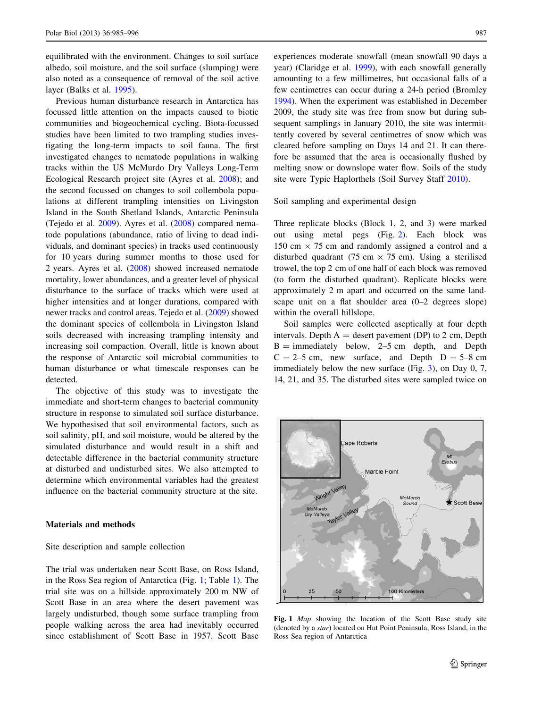equilibrated with the environment. Changes to soil surface albedo, soil moisture, and the soil surface (slumping) were also noted as a consequence of removal of the soil active layer (Balks et al. [1995\)](#page-9-0).

Previous human disturbance research in Antarctica has focussed little attention on the impacts caused to biotic communities and biogeochemical cycling. Biota-focussed studies have been limited to two trampling studies investigating the long-term impacts to soil fauna. The first investigated changes to nematode populations in walking tracks within the US McMurdo Dry Valleys Long-Term Ecological Research project site (Ayres et al. [2008\)](#page-9-0); and the second focussed on changes to soil collembola populations at different trampling intensities on Livingston Island in the South Shetland Islands, Antarctic Peninsula (Tejedo et al. [2009\)](#page-11-0). Ayres et al. [\(2008](#page-9-0)) compared nematode populations (abundance, ratio of living to dead individuals, and dominant species) in tracks used continuously for 10 years during summer months to those used for 2 years. Ayres et al. [\(2008](#page-9-0)) showed increased nematode mortality, lower abundances, and a greater level of physical disturbance to the surface of tracks which were used at higher intensities and at longer durations, compared with newer tracks and control areas. Tejedo et al. ([2009\)](#page-11-0) showed the dominant species of collembola in Livingston Island soils decreased with increasing trampling intensity and increasing soil compaction. Overall, little is known about the response of Antarctic soil microbial communities to human disturbance or what timescale responses can be detected.

The objective of this study was to investigate the immediate and short-term changes to bacterial community structure in response to simulated soil surface disturbance. We hypothesised that soil environmental factors, such as soil salinity, pH, and soil moisture, would be altered by the simulated disturbance and would result in a shift and detectable difference in the bacterial community structure at disturbed and undisturbed sites. We also attempted to determine which environmental variables had the greatest influence on the bacterial community structure at the site.

### Materials and methods

### Site description and sample collection

The trial was undertaken near Scott Base, on Ross Island, in the Ross Sea region of Antarctica (Fig. 1; Table [1\)](#page-3-0). The trial site was on a hillside approximately 200 m NW of Scott Base in an area where the desert pavement was largely undisturbed, though some surface trampling from people walking across the area had inevitably occurred since establishment of Scott Base in 1957. Scott Base experiences moderate snowfall (mean snowfall 90 days a year) (Claridge et al. [1999](#page-10-0)), with each snowfall generally amounting to a few millimetres, but occasional falls of a few centimetres can occur during a 24-h period (Bromley [1994](#page-10-0)). When the experiment was established in December 2009, the study site was free from snow but during subsequent samplings in January 2010, the site was intermittently covered by several centimetres of snow which was cleared before sampling on Days 14 and 21. It can therefore be assumed that the area is occasionally flushed by melting snow or downslope water flow. Soils of the study site were Typic Haplorthels (Soil Survey Staff [2010\)](#page-10-0).

Soil sampling and experimental design

Three replicate blocks (Block 1, 2, and 3) were marked out using metal pegs (Fig. [2\)](#page-3-0). Each block was 150 cm  $\times$  75 cm and randomly assigned a control and a disturbed quadrant (75 cm  $\times$  75 cm). Using a sterilised trowel, the top 2 cm of one half of each block was removed (to form the disturbed quadrant). Replicate blocks were approximately 2 m apart and occurred on the same landscape unit on a flat shoulder area (0–2 degrees slope) within the overall hillslope.

Soil samples were collected aseptically at four depth intervals. Depth  $A =$  desert pavement (DP) to 2 cm, Depth  $B = \text{immediately below}, 2-5 \text{ cm depth}, \text{ and Depth}$  $C = 2-5$  cm, new surface, and Depth  $D = 5-8$  cm immediately below the new surface (Fig. [3](#page-3-0)), on Day 0, 7, 14, 21, and 35. The disturbed sites were sampled twice on



Fig. 1 Map showing the location of the Scott Base study site (denoted by a star) located on Hut Point Peninsula, Ross Island, in the Ross Sea region of Antarctica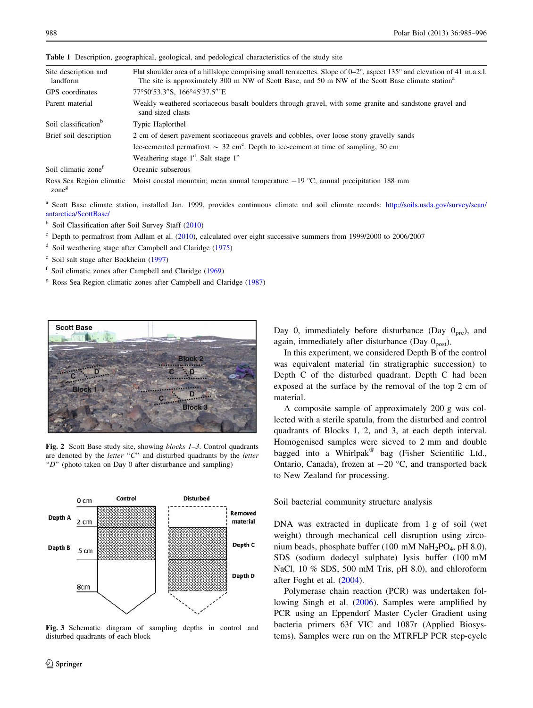| Site description and<br>landform | Flat shoulder area of a hillslope comprising small terracettes. Slope of $0-2^{\circ}$ , aspect 135° and elevation of 41 m.a.s.l.<br>The site is approximately 300 m NW of Scott Base, and 50 m NW of the Scott Base climate station <sup>a</sup> |  |  |  |  |
|----------------------------------|---------------------------------------------------------------------------------------------------------------------------------------------------------------------------------------------------------------------------------------------------|--|--|--|--|
| GPS coordinates                  | 77°50'53.3"S, 166°45'37.5"'E                                                                                                                                                                                                                      |  |  |  |  |
| Parent material                  | Weakly weathered scoriaceous basalt boulders through gravel, with some granite and sandstone gravel and<br>sand-sized clasts                                                                                                                      |  |  |  |  |
| Soil classification <sup>b</sup> | Typic Haplorthel                                                                                                                                                                                                                                  |  |  |  |  |
| Brief soil description           | 2 cm of desert pavement scoriaceous gravels and cobbles, over loose stony gravelly sands                                                                                                                                                          |  |  |  |  |
|                                  | Ice-cemented permafrost $\sim$ 32 cm <sup>c</sup> . Depth to ice-cement at time of sampling, 30 cm                                                                                                                                                |  |  |  |  |
|                                  | Weathering stage $1d$ . Salt stage $1e$                                                                                                                                                                                                           |  |  |  |  |
| Soil climatic zone <sup>f</sup>  | Oceanic subserous                                                                                                                                                                                                                                 |  |  |  |  |
| zoneg                            | Ross Sea Region climatic Moist coastal mountain; mean annual temperature $-19$ °C, annual precipitation 188 mm                                                                                                                                    |  |  |  |  |

<span id="page-3-0"></span>Table 1 Description, geographical, geological, and pedological characteristics of the study site

Scott Base climate station, installed Jan. 1999, provides continuous climate and soil climate records: [http://soils.usda.gov/survey/scan/](http://soils.usda.gov/survey/scan/antarctica/ScottBase/) [antarctica/ScottBase/](http://soils.usda.gov/survey/scan/antarctica/ScottBase/)

 $<sup>b</sup>$  Soil Classification after Soil Survey Staff ([2010\)](#page-10-0)</sup>

 $c$  Depth to permafrost from Adlam et al. ([2010\)](#page-9-0), calculated over eight successive summers from 1999/2000 to 2006/2007

 $d$  Soil weathering stage after Campbell and Claridge [\(1975](#page-10-0))

<sup>e</sup> Soil salt stage after Bockheim ([1997](#page-9-0))

 $f$  Soil climatic zones after Campbell and Claridge ([1969\)](#page-10-0)

 $g$  Ross Sea Region climatic zones after Campbell and Claridge ([1987\)](#page-10-0)



Fig. 2 Scott Base study site, showing blocks 1–3. Control quadrants are denoted by the *letter* " $C$ " and disturbed quadrants by the *letter* " $D$ " (photo taken on Day 0 after disturbance and sampling)



Fig. 3 Schematic diagram of sampling depths in control and disturbed quadrants of each block

Day 0, immediately before disturbance (Day  $0<sub>pre</sub>$ ), and again, immediately after disturbance (Day  $0_{post}$ ).

In this experiment, we considered Depth B of the control was equivalent material (in stratigraphic succession) to Depth C of the disturbed quadrant. Depth C had been exposed at the surface by the removal of the top 2 cm of material.

A composite sample of approximately 200 g was collected with a sterile spatula, from the disturbed and control quadrants of Blocks 1, 2, and 3, at each depth interval. Homogenised samples were sieved to 2 mm and double bagged into a Whirlpak $^{\circledR}$  bag (Fisher Scientific Ltd., Ontario, Canada), frozen at  $-20$  °C, and transported back to New Zealand for processing.

Soil bacterial community structure analysis

DNA was extracted in duplicate from 1 g of soil (wet weight) through mechanical cell disruption using zirconium beads, phosphate buffer (100 mM  $NaH<sub>2</sub>PO<sub>4</sub>$ , pH 8.0), SDS (sodium dodecyl sulphate) lysis buffer (100 mM NaCl, 10 % SDS, 500 mM Tris, pH 8.0), and chloroform after Foght et al. [\(2004](#page-10-0)).

Polymerase chain reaction (PCR) was undertaken following Singh et al. [\(2006](#page-10-0)). Samples were amplified by PCR using an Eppendorf Master Cycler Gradient using bacteria primers 63f VIC and 1087r (Applied Biosystems). Samples were run on the MTRFLP PCR step-cycle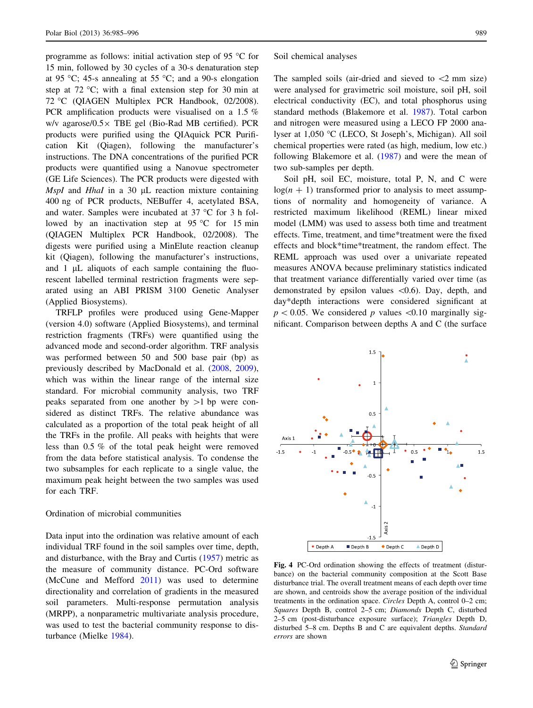<span id="page-4-0"></span>programme as follows: initial activation step of 95 "C for 15 min, followed by 30 cycles of a 30-s denaturation step at 95 °C; 45-s annealing at 55 °C; and a 90-s elongation step at 72  $^{\circ}$ C; with a final extension step for 30 min at 72 "C (QIAGEN Multiplex PCR Handbook, 02/2008). PCR amplification products were visualised on a 1.5 % w/v agarose/ $0.5 \times$  TBE gel (Bio-Rad MB certified). PCR products were purified using the QIAquick PCR Purification Kit (Qiagen), following the manufacturer's instructions. The DNA concentrations of the purified PCR products were quantified using a Nanovue spectrometer (GE Life Sciences). The PCR products were digested with  $MspI$  and  $Hhal$  in a 30  $\mu$ L reaction mixture containing 400 ng of PCR products, NEBuffer 4, acetylated BSA, and water. Samples were incubated at 37 "C for 3 h followed by an inactivation step at  $95^{\circ}$ C for 15 min (QIAGEN Multiplex PCR Handbook, 02/2008). The digests were purified using a MinElute reaction cleanup kit (Qiagen), following the manufacturer's instructions, and  $1 \mu L$  aliquots of each sample containing the fluorescent labelled terminal restriction fragments were separated using an ABI PRISM 3100 Genetic Analyser (Applied Biosystems).

TRFLP profiles were produced using Gene-Mapper (version 4.0) software (Applied Biosystems), and terminal restriction fragments (TRFs) were quantified using the advanced mode and second-order algorithm. TRF analysis was performed between 50 and 500 base pair (bp) as previously described by MacDonald et al. [\(2008](#page-10-0), [2009](#page-10-0)), which was within the linear range of the internal size standard. For microbial community analysis, two TRF peaks separated from one another by  $>1$  bp were considered as distinct TRFs. The relative abundance was calculated as a proportion of the total peak height of all the TRFs in the profile. All peaks with heights that were less than 0.5 % of the total peak height were removed from the data before statistical analysis. To condense the two subsamples for each replicate to a single value, the maximum peak height between the two samples was used for each TRF.

### Ordination of microbial communities

Data input into the ordination was relative amount of each individual TRF found in the soil samples over time, depth, and disturbance, with the Bray and Curtis [\(1957](#page-9-0)) metric as the measure of community distance. PC-Ord software (McCune and Mefford [2011\)](#page-10-0) was used to determine directionality and correlation of gradients in the measured soil parameters. Multi-response permutation analysis (MRPP), a nonparametric multivariate analysis procedure, was used to test the bacterial community response to disturbance (Mielke [1984\)](#page-10-0).

Soil chemical analyses

The sampled soils (air-dried and sieved to  $\langle 2 \text{ mm size} \rangle$ ) were analysed for gravimetric soil moisture, soil pH, soil electrical conductivity (EC), and total phosphorus using standard methods (Blakemore et al. [1987\)](#page-9-0). Total carbon and nitrogen were measured using a LECO FP 2000 analyser at 1,050 "C (LECO, St Joseph's, Michigan). All soil chemical properties were rated (as high, medium, low etc.) following Blakemore et al. [\(1987](#page-9-0)) and were the mean of two sub-samples per depth.

Soil pH, soil EC, moisture, total P, N, and C were  $log(n + 1)$  transformed prior to analysis to meet assumptions of normality and homogeneity of variance. A restricted maximum likelihood (REML) linear mixed model (LMM) was used to assess both time and treatment effects. Time, treatment, and time\*treatment were the fixed effects and block\*time\*treatment, the random effect. The REML approach was used over a univariate repeated measures ANOVA because preliminary statistics indicated that treatment variance differentially varied over time (as demonstrated by epsilon values  $\langle 0.6 \rangle$ . Day, depth, and day\*depth interactions were considered significant at  $p < 0.05$ . We considered p values  $\le 0.10$  marginally significant. Comparison between depths A and C (the surface



Fig. 4 PC-Ord ordination showing the effects of treatment (disturbance) on the bacterial community composition at the Scott Base disturbance trial. The overall treatment means of each depth over time are shown, and centroids show the average position of the individual treatments in the ordination space. Circles Depth A, control 0–2 cm; Squares Depth B, control 2–5 cm; Diamonds Depth C, disturbed 2–5 cm (post-disturbance exposure surface); Triangles Depth D, disturbed 5–8 cm. Depths B and C are equivalent depths. Standard errors are shown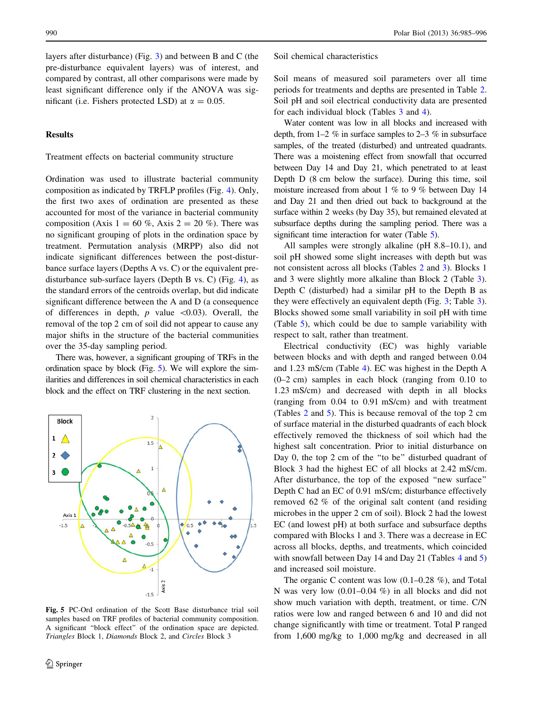<span id="page-5-0"></span>layers after disturbance) (Fig. [3](#page-3-0)) and between B and C (the pre-disturbance equivalent layers) was of interest, and compared by contrast, all other comparisons were made by least significant difference only if the ANOVA was significant (i.e. Fishers protected LSD) at  $\alpha = 0.05$ .

# **Results**

Treatment effects on bacterial community structure

Ordination was used to illustrate bacterial community composition as indicated by TRFLP profiles (Fig. [4](#page-4-0)). Only, the first two axes of ordination are presented as these accounted for most of the variance in bacterial community composition (Axis  $1 = 60\%$ , Axis  $2 = 20\%$ ). There was no significant grouping of plots in the ordination space by treatment. Permutation analysis (MRPP) also did not indicate significant differences between the post-disturbance surface layers (Depths A vs. C) or the equivalent predisturbance sub-surface layers (Depth B vs. C) (Fig. [4\)](#page-4-0), as the standard errors of the centroids overlap, but did indicate significant difference between the A and D (a consequence of differences in depth,  $p$  value  $\langle 0.03 \rangle$ . Overall, the removal of the top 2 cm of soil did not appear to cause any major shifts in the structure of the bacterial communities over the 35-day sampling period.

There was, however, a significant grouping of TRFs in the ordination space by block (Fig. 5). We will explore the similarities and differences in soil chemical characteristics in each block and the effect on TRF clustering in the next section.



Fig. 5 PC-Ord ordination of the Scott Base disturbance trial soil samples based on TRF profiles of bacterial community composition. A significant ''block effect'' of the ordination space are depicted. Triangles Block 1, Diamonds Block 2, and Circles Block 3

#### Soil chemical characteristics

Soil means of measured soil parameters over all time periods for treatments and depths are presented in Table [2.](#page-6-0) Soil pH and soil electrical conductivity data are presented for each individual block (Tables [3](#page-6-0) and [4\)](#page-6-0).

Water content was low in all blocks and increased with depth, from  $1-2\%$  in surface samples to  $2-3\%$  in subsurface samples, of the treated (disturbed) and untreated quadrants. There was a moistening effect from snowfall that occurred between Day 14 and Day 21, which penetrated to at least Depth D (8 cm below the surface). During this time, soil moisture increased from about 1 % to 9 % between Day 14 and Day 21 and then dried out back to background at the surface within 2 weeks (by Day 35), but remained elevated at subsurface depths during the sampling period. There was a significant time interaction for water (Table [5\)](#page-7-0).

All samples were strongly alkaline (pH 8.8–10.1), and soil pH showed some slight increases with depth but was not consistent across all blocks (Tables [2](#page-6-0) and [3\)](#page-6-0). Blocks 1 and 3 were slightly more alkaline than Block 2 (Table [3](#page-6-0)). Depth C (disturbed) had a similar pH to the Depth B as they were effectively an equivalent depth (Fig. [3;](#page-3-0) Table [3](#page-6-0)). Blocks showed some small variability in soil pH with time (Table [5\)](#page-7-0), which could be due to sample variability with respect to salt, rather than treatment.

Electrical conductivity (EC) was highly variable between blocks and with depth and ranged between 0.04 and 1.23 mS/cm (Table [4\)](#page-6-0). EC was highest in the Depth A (0–2 cm) samples in each block (ranging from 0.10 to 1.23 mS/cm) and decreased with depth in all blocks (ranging from 0.04 to 0.91 mS/cm) and with treatment (Tables [2](#page-6-0) and [5](#page-7-0)). This is because removal of the top 2 cm of surface material in the disturbed quadrants of each block effectively removed the thickness of soil which had the highest salt concentration. Prior to initial disturbance on Day 0, the top 2 cm of the "to be" disturbed quadrant of Block 3 had the highest EC of all blocks at 2.42 mS/cm. After disturbance, the top of the exposed ''new surface'' Depth C had an EC of 0.91 mS/cm; disturbance effectively removed 62 % of the original salt content (and residing microbes in the upper 2 cm of soil). Block 2 had the lowest EC (and lowest pH) at both surface and subsurface depths compared with Blocks 1 and 3. There was a decrease in EC across all blocks, depths, and treatments, which coincided with snowfall between Day 1[4](#page-6-0) and Day 21 (Tables 4 and [5\)](#page-7-0) and increased soil moisture.

The organic C content was low (0.1–0.28 %), and Total N was very low (0.01–0.04 %) in all blocks and did not show much variation with depth, treatment, or time. C/N ratios were low and ranged between 6 and 10 and did not change significantly with time or treatment. Total P ranged from 1,600 mg/kg to 1,000 mg/kg and decreased in all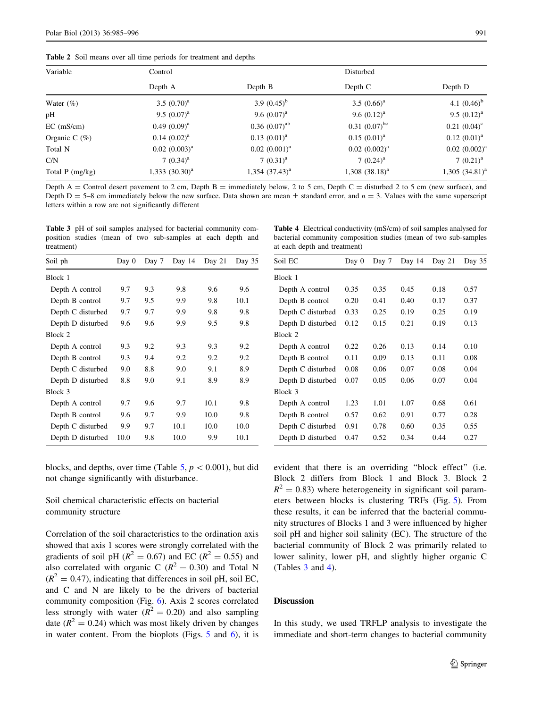<span id="page-6-0"></span>Table 2 Soil means over all time periods for treatment and depths

| Variable         | Control             |                      | Disturbed           |                      |  |
|------------------|---------------------|----------------------|---------------------|----------------------|--|
|                  | Depth A             | Depth B              | Depth C             | Depth D              |  |
| Water $(\%)$     | 3.5 $(0.70)^a$      | 3.9 $(0.45)^b$       | 3.5 $(0.66)^a$      | 4.1 $(0.46)^b$       |  |
| pH               | 9.5 $(0.07)^a$      | 9.6 $(0.07)^a$       | 9.6 $(0.12)^a$      | 9.5 $(0.12)^a$       |  |
| $EC$ (mS/cm)     | $0.49(0.09)^{a}$    | $0.36$ $(0.07)^{ab}$ | $0.31 (0.07)^{bc}$  | $0.21 (0.04)^c$      |  |
| Organic C $(\%)$ | $0.14~(0.02)^{a}$   | $0.13 (0.01)^a$      | $0.15(0.01)^a$      | $0.12 (0.01)^a$      |  |
| Total N          | $0.02$ $(0.003)^a$  | $0.02$ $(0.001)^a$   | $0.02$ $(0.002)^a$  | $0.02$ $(0.002)^{a}$ |  |
| C/N              | 7 $(0.34)^a$        | $7(0.31)^{a}$        | $7(0.24)^{a}$       | 7 $(0.21)^a$         |  |
| Total P (mg/kg)  | $1,333$ $(30.30)^a$ | $1,354$ $(37.43)^a$  | $1,308$ $(38.18)^a$ | $1,305$ $(34.81)^a$  |  |

Depth  $A =$  Control desert pavement to 2 cm, Depth B = immediately below, 2 to 5 cm, Depth C = disturbed 2 to 5 cm (new surface), and Depth D = 5–8 cm immediately below the new surface. Data shown are mean  $\pm$  standard error, and  $n = 3$ . Values with the same superscript letters within a row are not significantly different

Table 3 pH of soil samples analysed for bacterial community composition studies (mean of two sub-samples at each depth and treatment)

| Soil ph           | Day $0$ | Day 7 | Day 14 | Day 21 | Day 35 |
|-------------------|---------|-------|--------|--------|--------|
| Block 1           |         |       |        |        |        |
| Depth A control   | 9.7     | 9.3   | 9.8    | 9.6    | 9.6    |
| Depth B control   | 9.7     | 9.5   | 9.9    | 9.8    | 10.1   |
| Depth C disturbed | 9.7     | 9.7   | 9.9    | 9.8    | 9.8    |
| Depth D disturbed | 9.6     | 9.6   | 9.9    | 9.5    | 9.8    |
| Block 2           |         |       |        |        |        |
| Depth A control   | 9.3     | 9.2   | 9.3    | 9.3    | 9.2    |
| Depth B control   | 9.3     | 9.4   | 9.2    | 9.2    | 9.2    |
| Depth C disturbed | 9.0     | 8.8   | 9.0    | 9.1    | 8.9    |
| Depth D disturbed | 8.8     | 9.0   | 9.1    | 8.9    | 8.9    |
| Block 3           |         |       |        |        |        |
| Depth A control   | 9.7     | 9.6   | 9.7    | 10.1   | 9.8    |
| Depth B control   | 9.6     | 9.7   | 9.9    | 10.0   | 9.8    |
| Depth C disturbed | 9.9     | 9.7   | 10.1   | 10.0   | 10.0   |
| Depth D disturbed | 10.0    | 9.8   | 10.0   | 9.9    | 10.1   |

blocks, and depths, over time (Table [5](#page-7-0),  $p < 0.001$ ), but did not change significantly with disturbance.

# Soil chemical characteristic effects on bacterial community structure

Correlation of the soil characteristics to the ordination axis showed that axis 1 scores were strongly correlated with the gradients of soil pH ( $R^2 = 0.67$ ) and EC ( $R^2 = 0.55$ ) and also correlated with organic C ( $R^2 = 0.30$ ) and Total N  $(R^{2} = 0.47)$ , indicating that differences in soil pH, soil EC, and C and N are likely to be the drivers of bacterial community composition (Fig. [6\)](#page-7-0). Axis 2 scores correlated less strongly with water ( $R^2 = 0.20$ ) and also sampling date ( $R^2 = 0.24$ ) which was most likely driven by changes in water content. From the bioplots (Figs. [5](#page-5-0) and [6\)](#page-7-0), it is

Table 4 Electrical conductivity (mS/cm) of soil samples analysed for bacterial community composition studies (mean of two sub-samples at each depth and treatment)

| Soil EC           | Day 0 | Day 7 | Day 14 | Day 21 | Day 35 |
|-------------------|-------|-------|--------|--------|--------|
| Block 1           |       |       |        |        |        |
| Depth A control   | 0.35  | 0.35  | 0.45   | 0.18   | 0.57   |
| Depth B control   | 0.20  | 0.41  | 0.40   | 0.17   | 0.37   |
| Depth C disturbed | 0.33  | 0.25  | 0.19   | 0.25   | 0.19   |
| Depth D disturbed | 0.12  | 0.15  | 0.21   | 0.19   | 0.13   |
| Block 2           |       |       |        |        |        |
| Depth A control   | 0.22  | 0.26  | 0.13   | 0.14   | 0.10   |
| Depth B control   | 0.11  | 0.09  | 0.13   | 0.11   | 0.08   |
| Depth C disturbed | 0.08  | 0.06  | 0.07   | 0.08   | 0.04   |
| Depth D disturbed | 0.07  | 0.05  | 0.06   | 0.07   | 0.04   |
| Block 3           |       |       |        |        |        |
| Depth A control   | 1.23  | 1.01  | 1.07   | 0.68   | 0.61   |
| Depth B control   | 0.57  | 0.62  | 0.91   | 0.77   | 0.28   |
| Depth C disturbed | 0.91  | 0.78  | 0.60   | 0.35   | 0.55   |
| Depth D disturbed | 0.47  | 0.52  | 0.34   | 0.44   | 0.27   |

evident that there is an overriding ''block effect'' (i.e. Block 2 differs from Block 1 and Block 3. Block 2  $R^{2} = 0.83$ ) where heterogeneity in significant soil parameters between blocks is clustering TRFs (Fig. [5\)](#page-5-0). From these results, it can be inferred that the bacterial community structures of Blocks 1 and 3 were influenced by higher soil pH and higher soil salinity (EC). The structure of the bacterial community of Block 2 was primarily related to lower salinity, lower pH, and slightly higher organic C (Tables 3 and 4).

# Discussion

In this study, we used TRFLP analysis to investigate the immediate and short-term changes to bacterial community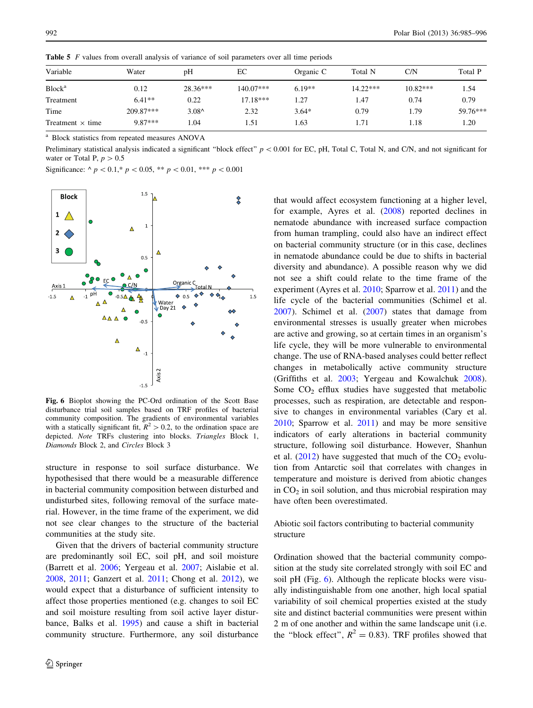| Variable                | Water       | pΗ             | EC          | Organic C | Total N    | C/N        | Total P  |
|-------------------------|-------------|----------------|-------------|-----------|------------|------------|----------|
| Block <sup>a</sup>      | 0.12        | $28.36***$     | $140.07***$ | $6.19**$  | $14.22***$ | $10.82***$ | 1.54     |
| Treatment               | $6.41**$    | 0.22           | $17.18***$  | 1.27      | 1.47       | 0.74       | 0.79     |
| Time                    | $209.87***$ | $3.08^{\circ}$ | 2.32        | $3.64*$   | 0.79       | 1.79       | 59.76*** |
| Treatment $\times$ time | $9.87***$   | .04            | l.51        | . 63      | 1.71       | 1.18       | 1.20     |

<span id="page-7-0"></span>Table 5 F values from overall analysis of variance of soil parameters over all time periods

<sup>a</sup> Block statistics from repeated measures ANOVA

Preliminary statistical analysis indicated a significant "block effect"  $p < 0.001$  for EC, pH, Total C, Total N, and C/N, and not significant for water or Total P,  $p > 0.5$ 

Significance:  $\wedge p < 0.1, * p < 0.05, ** p < 0.01, *** p < 0.001$ 



Fig. 6 Bioplot showing the PC-Ord ordination of the Scott Base disturbance trial soil samples based on TRF profiles of bacterial community composition. The gradients of environmental variables with a statically significant fit,  $R^2 > 0.2$ , to the ordination space are depicted. Note TRFs clustering into blocks. Triangles Block 1, Diamonds Block 2, and Circles Block 3

structure in response to soil surface disturbance. We hypothesised that there would be a measurable difference in bacterial community composition between disturbed and undisturbed sites, following removal of the surface material. However, in the time frame of the experiment, we did not see clear changes to the structure of the bacterial communities at the study site.

Given that the drivers of bacterial community structure are predominantly soil EC, soil pH, and soil moisture (Barrett et al. [2006](#page-9-0); Yergeau et al. [2007](#page-11-0); Aislabie et al. [2008,](#page-9-0) [2011](#page-9-0); Ganzert et al. [2011](#page-10-0); Chong et al. [2012\)](#page-10-0), we would expect that a disturbance of sufficient intensity to affect those properties mentioned (e.g. changes to soil EC and soil moisture resulting from soil active layer disturbance, Balks et al. [1995\)](#page-9-0) and cause a shift in bacterial community structure. Furthermore, any soil disturbance

that would affect ecosystem functioning at a higher level, for example, Ayres et al. ([2008\)](#page-9-0) reported declines in nematode abundance with increased surface compaction from human trampling, could also have an indirect effect on bacterial community structure (or in this case, declines in nematode abundance could be due to shifts in bacterial diversity and abundance). A possible reason why we did not see a shift could relate to the time frame of the experiment (Ayres et al. [2010](#page-9-0); Sparrow et al. [2011](#page-10-0)) and the life cycle of the bacterial communities (Schimel et al. [2007](#page-10-0)). Schimel et al. [\(2007](#page-10-0)) states that damage from environmental stresses is usually greater when microbes are active and growing, so at certain times in an organism's life cycle, they will be more vulnerable to environmental change. The use of RNA-based analyses could better reflect changes in metabolically active community structure (Griffiths et al. [2003;](#page-10-0) Yergeau and Kowalchuk [2008](#page-11-0)). Some  $CO<sub>2</sub>$  efflux studies have suggested that metabolic processes, such as respiration, are detectable and responsive to changes in environmental variables (Cary et al. [2010](#page-10-0); Sparrow et al. [2011](#page-10-0)) and may be more sensitive indicators of early alterations in bacterial community structure, following soil disturbance. However, Shanhun et al.  $(2012)$  $(2012)$  $(2012)$  have suggested that much of the  $CO<sub>2</sub>$  evolution from Antarctic soil that correlates with changes in temperature and moisture is derived from abiotic changes in  $CO<sub>2</sub>$  in soil solution, and thus microbial respiration may have often been overestimated.

# Abiotic soil factors contributing to bacterial community structure

Ordination showed that the bacterial community composition at the study site correlated strongly with soil EC and soil pH (Fig. 6). Although the replicate blocks were visually indistinguishable from one another, high local spatial variability of soil chemical properties existed at the study site and distinct bacterial communities were present within 2 m of one another and within the same landscape unit (i.e. the "block effect",  $R^2 = 0.83$ ). TRF profiles showed that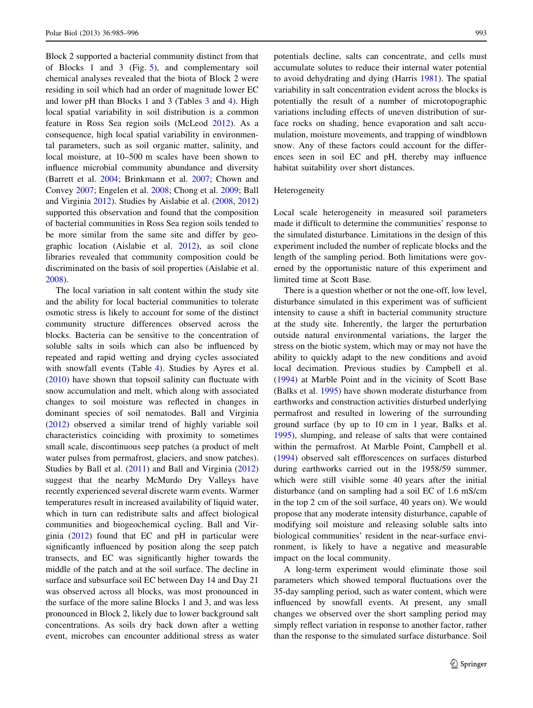Block 2 supported a bacterial community distinct from that of Blocks 1 and 3 (Fig. [5](#page-5-0)), and complementary soil chemical analyses revealed that the biota of Block 2 were residing in soil which had an order of magnitude lower EC and lower pH than Blocks 1 and 3 (Tables [3](#page-6-0) and [4](#page-6-0)). High local spatial variability in soil distribution is a common feature in Ross Sea region soils (McLeod [2012\)](#page-10-0). As a consequence, high local spatial variability in environmental parameters, such as soil organic matter, salinity, and local moisture, at 10–500 m scales have been shown to influence microbial community abundance and diversity (Barrett et al. [2004](#page-9-0); Brinkmann et al. [2007](#page-10-0); Chown and Convey [2007;](#page-10-0) Engelen et al. [2008;](#page-10-0) Chong et al. [2009;](#page-10-0) Ball and Virginia [2012](#page-9-0)). Studies by Aislabie et al. ([2008,](#page-9-0) [2012\)](#page-9-0) supported this observation and found that the composition of bacterial communities in Ross Sea region soils tended to be more similar from the same site and differ by geographic location (Aislabie et al. [2012](#page-9-0)), as soil clone libraries revealed that community composition could be discriminated on the basis of soil properties (Aislabie et al. [2008\)](#page-9-0).

The local variation in salt content within the study site and the ability for local bacterial communities to tolerate osmotic stress is likely to account for some of the distinct community structure differences observed across the blocks. Bacteria can be sensitive to the concentration of soluble salts in soils which can also be influenced by repeated and rapid wetting and drying cycles associated with snowfall events (Table [4](#page-6-0)). Studies by Ayres et al. [\(2010](#page-9-0)) have shown that topsoil salinity can fluctuate with snow accumulation and melt, which along with associated changes to soil moisture was reflected in changes in dominant species of soil nematodes. Ball and Virginia [\(2012](#page-9-0)) observed a similar trend of highly variable soil characteristics coinciding with proximity to sometimes small scale, discontinuous seep patches (a product of melt water pulses from permafrost, glaciers, and snow patches). Studies by Ball et al. ([2011\)](#page-9-0) and Ball and Virginia ([2012\)](#page-9-0) suggest that the nearby McMurdo Dry Valleys have recently experienced several discrete warm events. Warmer temperatures result in increased availability of liquid water, which in turn can redistribute salts and affect biological communities and biogeochemical cycling. Ball and Virginia ([2012\)](#page-9-0) found that EC and pH in particular were significantly influenced by position along the seep patch transects, and EC was significantly higher towards the middle of the patch and at the soil surface. The decline in surface and subsurface soil EC between Day 14 and Day 21 was observed across all blocks, was most pronounced in the surface of the more saline Blocks 1 and 3, and was less pronounced in Block 2, likely due to lower background salt concentrations. As soils dry back down after a wetting event, microbes can encounter additional stress as water

potentials decline, salts can concentrate, and cells must accumulate solutes to reduce their internal water potential to avoid dehydrating and dying (Harris [1981\)](#page-10-0). The spatial variability in salt concentration evident across the blocks is potentially the result of a number of microtopographic variations including effects of uneven distribution of surface rocks on shading, hence evaporation and salt accumulation, moisture movements, and trapping of windblown snow. Any of these factors could account for the differences seen in soil EC and pH, thereby may influence habitat suitability over short distances.

### Heterogeneity

Local scale heterogeneity in measured soil parameters made it difficult to determine the communities' response to the simulated disturbance. Limitations in the design of this experiment included the number of replicate blocks and the length of the sampling period. Both limitations were governed by the opportunistic nature of this experiment and limited time at Scott Base.

There is a question whether or not the one-off, low level, disturbance simulated in this experiment was of sufficient intensity to cause a shift in bacterial community structure at the study site. Inherently, the larger the perturbation outside natural environmental variations, the larger the stress on the biotic system, which may or may not have the ability to quickly adapt to the new conditions and avoid local decimation. Previous studies by Campbell et al. [\(1994](#page-10-0)) at Marble Point and in the vicinity of Scott Base (Balks et al. [1995](#page-9-0)) have shown moderate disturbance from earthworks and construction activities disturbed underlying permafrost and resulted in lowering of the surrounding ground surface (by up to 10 cm in 1 year, Balks et al. [1995](#page-9-0)), slumping, and release of salts that were contained within the permafrost. At Marble Point, Campbell et al. [\(1994](#page-10-0)) observed salt efflorescences on surfaces disturbed during earthworks carried out in the 1958/59 summer, which were still visible some 40 years after the initial disturbance (and on sampling had a soil EC of 1.6 mS/cm in the top 2 cm of the soil surface, 40 years on). We would propose that any moderate intensity disturbance, capable of modifying soil moisture and releasing soluble salts into biological communities' resident in the near-surface environment, is likely to have a negative and measurable impact on the local community.

A long-term experiment would eliminate those soil parameters which showed temporal fluctuations over the 35-day sampling period, such as water content, which were influenced by snowfall events. At present, any small changes we observed over the short sampling period may simply reflect variation in response to another factor, rather than the response to the simulated surface disturbance. Soil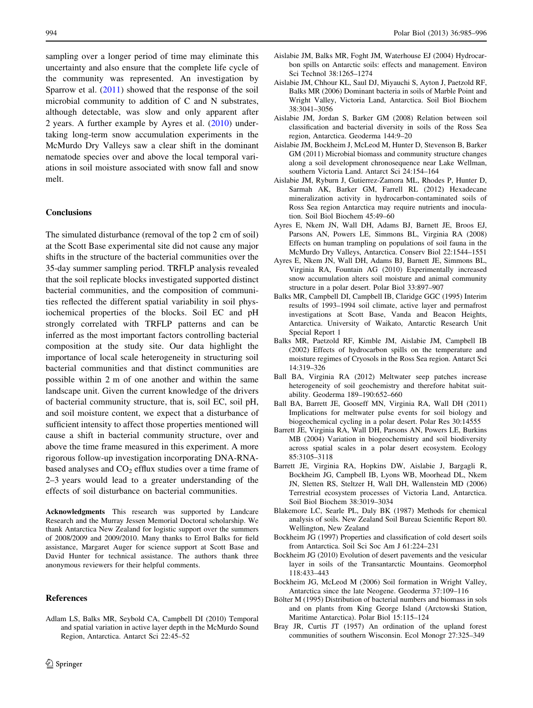<span id="page-9-0"></span>sampling over a longer period of time may eliminate this uncertainty and also ensure that the complete life cycle of the community was represented. An investigation by Sparrow et al. [\(2011](#page-10-0)) showed that the response of the soil microbial community to addition of C and N substrates, although detectable, was slow and only apparent after 2 years. A further example by Ayres et al.  $(2010)$  undertaking long-term snow accumulation experiments in the McMurdo Dry Valleys saw a clear shift in the dominant nematode species over and above the local temporal variations in soil moisture associated with snow fall and snow melt.

# **Conclusions**

The simulated disturbance (removal of the top 2 cm of soil) at the Scott Base experimental site did not cause any major shifts in the structure of the bacterial communities over the 35-day summer sampling period. TRFLP analysis revealed that the soil replicate blocks investigated supported distinct bacterial communities, and the composition of communities reflected the different spatial variability in soil physiochemical properties of the blocks. Soil EC and pH strongly correlated with TRFLP patterns and can be inferred as the most important factors controlling bacterial composition at the study site. Our data highlight the importance of local scale heterogeneity in structuring soil bacterial communities and that distinct communities are possible within 2 m of one another and within the same landscape unit. Given the current knowledge of the drivers of bacterial community structure, that is, soil EC, soil pH, and soil moisture content, we expect that a disturbance of sufficient intensity to affect those properties mentioned will cause a shift in bacterial community structure, over and above the time frame measured in this experiment. A more rigorous follow-up investigation incorporating DNA-RNAbased analyses and  $CO<sub>2</sub>$  efflux studies over a time frame of 2–3 years would lead to a greater understanding of the effects of soil disturbance on bacterial communities.

Acknowledgments This research was supported by Landcare Research and the Murray Jessen Memorial Doctoral scholarship. We thank Antarctica New Zealand for logistic support over the summers of 2008/2009 and 2009/2010. Many thanks to Errol Balks for field assistance, Margaret Auger for science support at Scott Base and David Hunter for technical assistance. The authors thank three anonymous reviewers for their helpful comments.

### References

Adlam LS, Balks MR, Seybold CA, Campbell DI (2010) Temporal and spatial variation in active layer depth in the McMurdo Sound Region, Antarctica. Antarct Sci 22:45–52

- Aislabie JM, Balks MR, Foght JM, Waterhouse EJ (2004) Hydrocarbon spills on Antarctic soils: effects and management. Environ Sci Technol 38:1265–1274
- Aislabie JM, Chhour KL, Saul DJ, Miyauchi S, Ayton J, Paetzold RF, Balks MR (2006) Dominant bacteria in soils of Marble Point and Wright Valley, Victoria Land, Antarctica. Soil Biol Biochem 38:3041–3056
- Aislabie JM, Jordan S, Barker GM (2008) Relation between soil classification and bacterial diversity in soils of the Ross Sea region, Antarctica. Geoderma 144:9–20
- Aislabie JM, Bockheim J, McLeod M, Hunter D, Stevenson B, Barker GM (2011) Microbial biomass and community structure changes along a soil development chronosequence near Lake Wellman, southern Victoria Land. Antarct Sci 24:154–164
- Aislabie JM, Ryburn J, Gutierrez-Zamora ML, Rhodes P, Hunter D, Sarmah AK, Barker GM, Farrell RL (2012) Hexadecane mineralization activity in hydrocarbon-contaminated soils of Ross Sea region Antarctica may require nutrients and inoculation. Soil Biol Biochem 45:49–60
- Ayres E, Nkem JN, Wall DH, Adams BJ, Barnett JE, Broos EJ, Parsons AN, Powers LE, Simmons BL, Virginia RA (2008) Effects on human trampling on populations of soil fauna in the McMurdo Dry Valleys, Antarctica. Conserv Biol 22:1544–1551
- Ayres E, Nkem JN, Wall DH, Adams BJ, Barnett JE, Simmons BL, Virginia RA, Fountain AG (2010) Experimentally increased snow accumulation alters soil moisture and animal community structure in a polar desert. Polar Biol 33:897–907
- Balks MR, Campbell DI, Campbell IB, Claridge GGC (1995) Interim results of 1993–1994 soil climate, active layer and permafrost investigations at Scott Base, Vanda and Beacon Heights, Antarctica. University of Waikato, Antarctic Research Unit Special Report 1
- Balks MR, Paetzold RF, Kimble JM, Aislabie JM, Campbell IB (2002) Effects of hydrocarbon spills on the temperature and moisture regimes of Cryosols in the Ross Sea region. Antarct Sci 14:319–326
- Ball BA, Virginia RA (2012) Meltwater seep patches increase heterogeneity of soil geochemistry and therefore habitat suitability. Geoderma 189–190:652–660
- Ball BA, Barrett JE, Gooseff MN, Virginia RA, Wall DH (2011) Implications for meltwater pulse events for soil biology and biogeochemical cycling in a polar desert. Polar Res 30:14555
- Barrett JE, Virginia RA, Wall DH, Parsons AN, Powers LE, Burkins MB (2004) Variation in biogeochemistry and soil biodiversity across spatial scales in a polar desert ecosystem. Ecology 85:3105–3118
- Barrett JE, Virginia RA, Hopkins DW, Aislabie J, Bargagli R, Bockheim JG, Campbell IB, Lyons WB, Moorhead DL, Nkem JN, Sletten RS, Steltzer H, Wall DH, Wallenstein MD (2006) Terrestrial ecosystem processes of Victoria Land, Antarctica. Soil Biol Biochem 38:3019–3034
- Blakemore LC, Searle PL, Daly BK (1987) Methods for chemical analysis of soils. New Zealand Soil Bureau Scientific Report 80. Wellington, New Zealand
- Bockheim JG (1997) Properties and classification of cold desert soils from Antarctica. Soil Sci Soc Am J 61:224–231
- Bockheim JG (2010) Evolution of desert pavements and the vesicular layer in soils of the Transantarctic Mountains. Geomorphol 118:433–443
- Bockheim JG, McLeod M (2006) Soil formation in Wright Valley, Antarctica since the late Neogene. Geoderma 37:109–116
- Bölter M (1995) Distribution of bacterial numbers and biomass in sols and on plants from King George Island (Arctowski Station, Maritime Antarctica). Polar Biol 15:115–124
- Bray JR, Curtis JT (1957) An ordination of the upland forest communities of southern Wisconsin. Ecol Monogr 27:325–349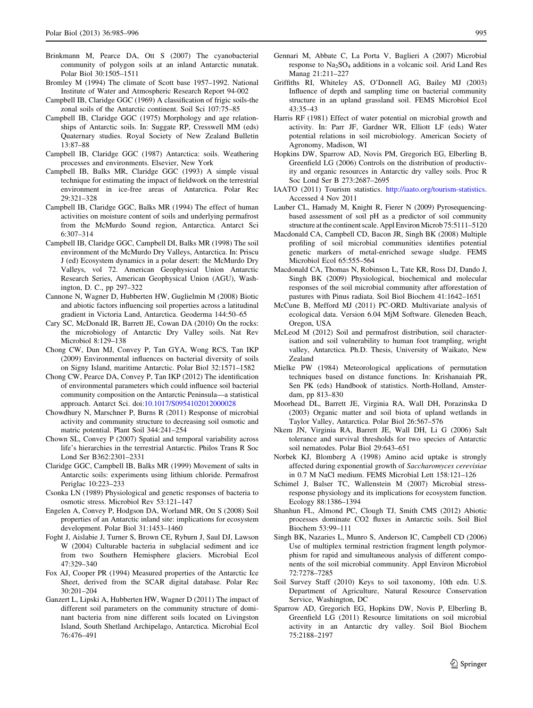- <span id="page-10-0"></span>Brinkmann M, Pearce DA, Ott S (2007) The cyanobacterial community of polygon soils at an inland Antarctic nunatak. Polar Biol 30:1505–1511
- Bromley M (1994) The climate of Scott base 1957–1992. National Institute of Water and Atmospheric Research Report 94-002
- Campbell IB, Claridge GGC (1969) A classification of frigic soils-the zonal soils of the Antarctic continent. Soil Sci 107:75–85
- Campbell IB, Claridge GGC (1975) Morphology and age relationships of Antarctic soils. In: Suggate RP, Cresswell MM (eds) Quaternary studies. Royal Society of New Zealand Bulletin 13:87–88
- Campbell IB, Claridge GGC (1987) Antarctica: soils. Weathering processes and environments. Elsevier, New York
- Campbell IB, Balks MR, Claridge GGC (1993) A simple visual technique for estimating the impact of fieldwork on the terrestrial environment in ice-free areas of Antarctica. Polar Rec 29:321–328
- Campbell IB, Claridge GGC, Balks MR (1994) The effect of human activities on moisture content of soils and underlying permafrost from the McMurdo Sound region, Antarctica. Antarct Sci 6:307–314
- Campbell IB, Claridge GGC, Campbell DI, Balks MR (1998) The soil environment of the McMurdo Dry Valleys, Antarctica. In: Priscu J (ed) Ecosystem dynamics in a polar desert: the McMurdo Dry Valleys, vol 72. American Geophysical Union Antarctic Research Series, American Geophysical Union (AGU), Washington, D. C., pp 297–322
- Cannone N, Wagner D, Hubberten HW, Guglielmin M (2008) Biotic and abiotic factors influencing soil properties across a latitudinal gradient in Victoria Land, Antarctica. Geoderma 144:50–65
- Cary SC, McDonald IR, Barrett JE, Cowan DA (2010) On the rocks: the microbiology of Antarctic Dry Valley soils. Nat Rev Microbiol 8:129–138
- Chong CW, Dun MJ, Convey P, Tan GYA, Wong RCS, Tan IKP (2009) Environmental influences on bacterial diversity of soils on Signy Island, maritime Antarctic. Polar Biol 32:1571–1582
- Chong CW, Pearce DA, Convey P, Tan IKP (2012) The identification of environmental parameters which could influence soil bacterial community composition on the Antarctic Peninsula—a statistical approach. Antarct Sci. doi[:10.1017/S0954102012000028](http://dx.doi.org/10.1017/S0954102012000028)
- Chowdhury N, Marschner P, Burns R (2011) Response of microbial activity and community structure to decreasing soil osmotic and matric potential. Plant Soil 344:241–254
- Chown SL, Convey P (2007) Spatial and temporal variability across life's hierarchies in the terrestrial Antarctic. Philos Trans R Soc Lond Ser B362:2301–2331
- Claridge GGC, Campbell IB, Balks MR (1999) Movement of salts in Antarctic soils: experiments using lithium chloride. Permafrost Periglac 10:223–233
- Csonka LN (1989) Physiological and genetic responses of bacteria to osmotic stress. Microbiol Rev 53:121–147
- Engelen A, Convey P, Hodgson DA, Worland MR, Ott S (2008) Soil properties of an Antarctic inland site: implications for ecosystem development. Polar Biol 31:1453–1460
- Foght J, Aislabie J, Turner S, Brown CE, Ryburn J, Saul DJ, Lawson W (2004) Culturable bacteria in subglacial sediment and ice from two Southern Hemisphere glaciers. Microbial Ecol 47:329–340
- Fox AJ, Cooper PR (1994) Measured properties of the Antarctic Ice Sheet, derived from the SCAR digital database. Polar Rec 30:201–204
- Ganzert L, Lipski A, Hubberten HW, Wagner D (2011) The impact of different soil parameters on the community structure of dominant bacteria from nine different soils located on Livingston Island, South Shetland Archipelago, Antarctica. Microbial Ecol 76:476–491
- Gennari M, Abbate C, La Porta V, Baglieri A (2007) Microbial response to  $Na<sub>2</sub>SO<sub>4</sub>$  additions in a volcanic soil. Arid Land Res Manag 21:211–227
- Griffiths RI, Whiteley AS, O'Donnell AG, Bailey MJ (2003) Influence of depth and sampling time on bacterial community structure in an upland grassland soil. FEMS Microbiol Ecol 43:35–43
- Harris RF (1981) Effect of water potential on microbial growth and activity. In: Parr JF, Gardner WR, Elliott LF (eds) Water potential relations in soil microbiology. American Society of Agronomy, Madison, WI
- Hopkins DW, Sparrow AD, Novis PM, Gregorich EG, Elberling B, Greenfield LG (2006) Controls on the distribution of productivity and organic resources in Antarctic dry valley soils. Proc R Soc Lond Ser B 273:2687–2695
- IAATO (2011) Tourism statistics. <http://iaato.org/tourism-statistics>. Accessed 4 Nov 2011
- Lauber CL, Hamady M, Knight R, Fierer N (2009) Pyrosequencingbased assessment of soil pH as a predictor of soil community structure at the continent scale. Appl Environ Microb 75:5111–5120
- Macdonald CA, Campbell CD, Bacon JR, Singh BK (2008) Multiple profiling of soil microbial communities identifies potential genetic markers of metal-enriched sewage sludge. FEMS Microbiol Ecol 65:555–564
- Macdonald CA, Thomas N, Robinson L, Tate KR, Ross DJ, Dando J, Singh BK (2009) Physiological, biochemical and molecular responses of the soil microbial community after afforestation of pastures with Pinus radiata. Soil Biol Biochem 41:1642–1651
- McCune B, Mefford MJ (2011) PC-ORD. Multivariate analysis of ecological data. Version 6.04 MjM Software. Gleneden Beach, Oregon, USA
- McLeod M (2012) Soil and permafrost distribution, soil characterisation and soil vulnerability to human foot trampling, wright valley, Antarctica. Ph.D. Thesis, University of Waikato, New Zealand
- Mielke PW (1984) Meteorological applications of permutation techniques based on distance functions. In: Krishanaiah PR, Sen PK (eds) Handbook of statistics. North-Holland, Amsterdam, pp 813–830
- Moorhead DL, Barrett JE, Virginia RA, Wall DH, Porazinska D (2003) Organic matter and soil biota of upland wetlands in Taylor Valley, Antarctica. Polar Biol 26:567–576
- Nkem JN, Virginia RA, Barrett JE, Wall DH, Li G (2006) Salt tolerance and survival thresholds for two species of Antarctic soil nematodes. Polar Biol 29:643–651
- Norbek KJ, Blomberg A (1998) Amino acid uptake is strongly affected during exponential growth of Saccharomyces cerevisiae in 0.7 M NaCl medium. FEMS Microbial Lett 158:121–126
- Schimel J, Balser TC, Wallenstein M (2007) Microbial stressresponse physiology and its implications for ecosystem function. Ecology 88:1386–1394
- Shanhun FL, Almond PC, Clough TJ, Smith CMS (2012) Abiotic processes dominate CO2 fluxes in Antarctic soils. Soil Biol Biochem 53:99–111
- Singh BK, Nazaries L, Munro S, Anderson IC, Campbell CD (2006) Use of multiplex terminal restriction fragment length polymorphism for rapid and simultaneous analysis of different components of the soil microbial community. Appl Environ Microbiol 72:7278–7285
- Soil Survey Staff (2010) Keys to soil taxonomy, 10th edn. U.S. Department of Agriculture, Natural Resource Conservation Service, Washington, DC
- Sparrow AD, Gregorich EG, Hopkins DW, Novis P, Elberling B, Greenfield LG (2011) Resource limitations on soil microbial activity in an Antarctic dry valley. Soil Biol Biochem 75:2188–2197